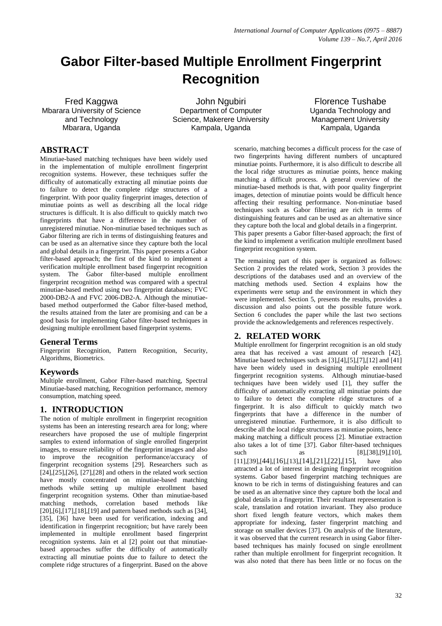# **Gabor Filter-based Multiple Enrollment Fingerprint Recognition**

Fred Kaggwa Mbarara University of Science and Technology Mbarara, Uganda

John Ngubiri Department of Computer Science, Makerere University Kampala, Uganda

Florence Tushabe Uganda Technology and Management University Kampala, Uganda

# **ABSTRACT**

Minutiae-based matching techniques have been widely used in the implementation of multiple enrollment fingerprint recognition systems. However, these techniques suffer the difficulty of automatically extracting all minutiae points due to failure to detect the complete ridge structures of a fingerprint. With poor quality fingerprint images, detection of minutiae points as well as describing all the local ridge structures is difficult. It is also difficult to quickly match two fingerprints that have a difference in the number of unregistered minutiae. Non-minutiae based techniques such as Gabor filtering are rich in terms of distinguishing features and can be used as an alternative since they capture both the local and global details in a fingerprint. This paper presents a Gabor filter-based approach; the first of the kind to implement a verification multiple enrollment based fingerprint recognition system. The Gabor filter-based multiple enrollment fingerprint recognition method was compared with a spectral minutiae-based method using two fingerprint databases; FVC 2000-DB2-A and FVC 2006-DB2-A. Although the minutiaebased method outperformed the Gabor filter-based method, the results attained from the later are promising and can be a good basis for implementing Gabor filter-based techniques in designing multiple enrollment based fingerprint systems.

### **General Terms**

Fingerprint Recognition, Pattern Recognition, Security, Algorithms, Biometrics.

### **Keywords**

Multiple enrollment, Gabor Filter-based matching, Spectral Minutiae-based matching, Recognition performance, memory consumption, matching speed.

# **1. INTRODUCTION**

The notion of multiple enrollment in fingerprint recognition systems has been an interesting research area for long; where researchers have proposed the use of multiple fingerprint samples to extend information of single enrolled fingerprint images, to ensure reliability of the fingerprint images and also to improve the recognition performance/accuracy of fingerprint recognition systems [29]. Researchers such as [24],[25],[26], [27],[28] and others in the related work section have mostly concentrated on minutiae-based matching methods while setting up multiple enrollment based fingerprint recognition systems. Other than minutiae-based matching methods, correlation based methods like [20], [6], [17], [18], [19] and pattern based methods such as [34], [35], [36] have been used for verification, indexing and identification in fingerprint recognition; but have rarely been implemented in multiple enrollment based fingerprint recognition systems. Jain et al [2] point out that minutiaebased approaches suffer the difficulty of automatically extracting all minutiae points due to failure to detect the complete ridge structures of a fingerprint. Based on the above

scenario, matching becomes a difficult process for the case of two fingerprints having different numbers of uncaptured minutiae points. Furthermore, it is also difficult to describe all the local ridge structures as minutiae points, hence making matching a difficult process. A general overview of the minutiae-based methods is that, with poor quality fingerprint images, detection of minutiae points would be difficult hence affecting their resulting performance. Non-minutiae based techniques such as Gabor filtering are rich in terms of distinguishing features and can be used as an alternative since they capture both the local and global details in a fingerprint. This paper presents a Gabor filter-based approach; the first of the kind to implement a verification multiple enrollment based fingerprint recognition system.

The remaining part of this paper is organized as follows: Section 2 provides the related work, Section 3 provides the descriptions of the databases used and an overview of the matching methods used. Section 4 explains how the experiments were setup and the environment in which they were implemented. Section 5, presents the results, provides a discussion and also points out the possible future work. Section 6 concludes the paper while the last two sections provide the acknowledgements and references respectively.

# **2. RELATED WORK**

Multiple enrollment for fingerprint recognition is an old study area that has received a vast amount of research [42]. Minutiae based techniques such as [3],[4],[5],[7],[12] and [41] have been widely used in designing multiple enrollment fingerprint recognition systems. Although minutiae-based techniques have been widely used [1], they suffer the difficulty of automatically extracting all minutiae points due to failure to detect the complete ridge structures of a fingerprint. It is also difficult to quickly match two fingerprints that have a difference in the number of unregistered minutiae. Furthermore, it is also difficult to describe all the local ridge structures as minutiae points, hence making matching a difficult process [2]. Minutiae extraction also takes a lot of time [37]. Gabor filter-based techniques such as  $[8]$ , [38], [9], [10], [11],[39],[44],[16],[13],[14],[21],[22],[15], have also attracted a lot of interest in designing fingerprint recognition systems. Gabor based fingerprint matching techniques are known to be rich in terms of distinguishing features and can be used as an alternative since they capture both the local and global details in a fingerprint. Their resultant representation is scale, translation and rotation invariant. They also produce short fixed length feature vectors, which makes them appropriate for indexing, faster fingerprint matching and storage on smaller devices [37]. On analysis of the literature, it was observed that the current research in using Gabor filterbased techniques has mainly focused on single enrollment rather than multiple enrollment for fingerprint recognition. It was also noted that there has been little or no focus on the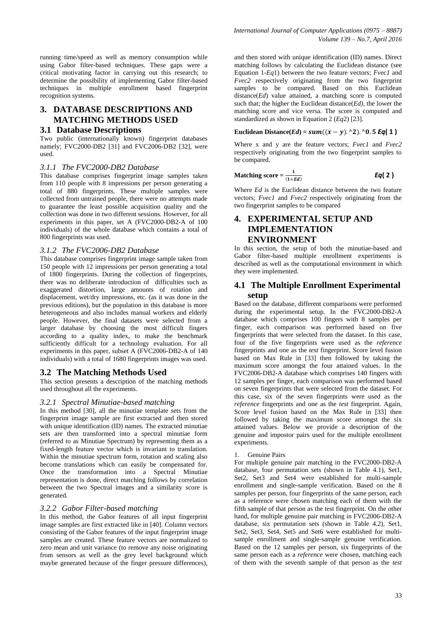running time/speed as well as memory consumption while using Gabor filter-based techniques. These gaps were a critical motivating factor in carrying out this research; to determine the possibility of implementing Gabor filter-based techniques in multiple enrollment based fingerprint recognition systems.

# **3. DATABASE DESCRIPTIONS AND MATCHING METHODS USED**

#### **3.1 Database Descriptions**

Two public (internationally known) fingerprint databases namely; FVC2000-DB2 [31] and FVC2006-DB2 [32], were used.

#### *3.1.1 The FVC2000-DB2 Database*

This database comprises fingerprint image samples taken from 110 people with 8 impressions per person generating a total of 880 fingerprints. These multiple samples were collected from untrained people, there were no attempts made to guarantee the least possible acquisition quality and the collection was done in two different sessions. However, for all experiments in this paper, set A (FVC2000-DB2-A of 100 individuals) of the whole database which contains a total of 800 fingerprints was used.

#### *3.1.2 The FVC2006-DB2 Database*

This database comprises fingerprint image sample taken from 150 people with 12 impressions per person generating a total of 1800 fingerprints. During the collection of fingerprints, there was no deliberate introduction of difficulties such as exaggerated distortion, large amounts of rotation and displacement, wet/dry impressions, etc. (as it was done in the previous editions), but the population in this database is more heterogeneous and also includes manual workers and elderly people. However, the final datasets were selected from a larger database by choosing the most difficult fingers according to a quality index, to make the benchmark sufficiently difficult for a technology evaluation. For all experiments in this paper, subset A (FVC2006-DB2-A of 140 individuals) with a total of 1680 fingerprints images was used.

### **3.2 The Matching Methods Used**

This section presents a description of the matching methods used throughout all the experiments.

#### *3.2.1 Spectral Minutiae-based matching*

In this method [30], all the minutiae template sets from the fingerprint image sample are first extracted and then stored with unique identification (ID) names. The extracted minutiae sets are then transformed into a spectral minutiae form (referred to as Minutiae Spectrum) by representing them as a fixed-length feature vector which is invariant to translation. Within the minutiae spectrum form, rotation and scaling also become translations which can easily be compensated for. Once the transformation into a Spectral Minutiae representation is done, direct matching follows by correlation between the two Spectral images and a similarity score is generated.

#### *3.2.2 Gabor Filter-based matching*

In this method, the Gabor features of all input fingerprint image samples are first extracted like in [40]. Column vectors consisting of the Gabor features of the input fingerprint image samples are created. These feature vectors are normalized to zero mean and unit variance (to remove any noise originating from sensors as well as the grey level background which maybe generated because of the finger pressure differences),

and then stored with unique identification (ID) names. Direct matching follows by calculating the Euclidean distance (see Equation 1-*Eq*1) between the two feature vectors; *Fvec1* and *Fvec2* respectively originating from the two fingerprint samples to be compared. Based on this Euclidean distance(*Ed*) value attained, a matching score is computed such that; the higher the Euclidean distance(*Ed)*, the lower the matching score and vice versa. The score is computed and standardized as shown in Equation 2 (*Eq*2) [23].

#### **Euclidean Distance**( $Ed$ ) =  $sum((x - y)$ . ^2). ^0. **5 Eq**( 1)

Where x and y are the feature vectors; *Fvec1* and *Fvec2* respectively originating from the two fingerprint samples to be compared.

**Matching score** = 
$$
\frac{1}{(1 + Ed)}
$$
 **Eq(2)**

Where *Ed* is the Euclidean distance between the two feature vectors; *Fvec1* and *Fvec2* respectively originating from the two fingerprint samples to be compared

# **4. EXPERIMENTAL SETUP AND IMPLEMENTATION ENVIRONMENT**

In this section, the setup of both the minutiae-based and Gabor filter-based multiple enrollment experiments is described as well as the computational environment in which they were implemented.

### **4.1 The Multiple Enrollment Experimental setup**

Based on the database, different comparisons were performed during the experimental setup. In the FVC2000-DB2-A database which comprises 100 fingers with 8 samples per finger, each comparison was performed based on five fingerprints that were selected from the dataset. In this case, four of the five fingerprints were used as the *reference* fingerprints and one as the *test* fingerprint. Score level fusion based on Max Rule in [33] then followed by taking the maximum score amongst the four attained values. In the FVC2006-DB2-A database which comprises 140 fingers with 12 samples per finger, each comparison was performed based on seven fingerprints that were selected from the dataset. For this case, six of the seven fingerprints were used as the *reference* fingerprints and one as the *test* fingerprint. Again, Score level fusion based on the Max Rule in [33] then followed by taking the maximum score amongst the six attained values. Below we provide a description of the genuine and impostor pairs used for the multiple enrollment experiments.

1. Genuine Pairs

For multiple genuine pair matching in the FVC2000-DB2-A database, four permutation sets (shown in Table 4.1), Set1, Set2, Set3 and Set4 were established for multi-sample enrollment and single-sample verification. Based on the 8 samples per person, four fingerprints of the same person, each as a reference were chosen matching each of them with the fifth sample of that person as the test fingerprint. On the other hand, for multiple genuine pair matching in FVC2006-DB2-A database, six permutation sets (shown in Table 4.2), Set1, Set2, Set3, Set4, Set5 and Set6 were established for multisample enrollment and single-sample genuine verification. Based on the 12 samples per person, six fingerprints of the same person each as a *reference* were chosen, matching each of them with the seventh sample of that person as the *test*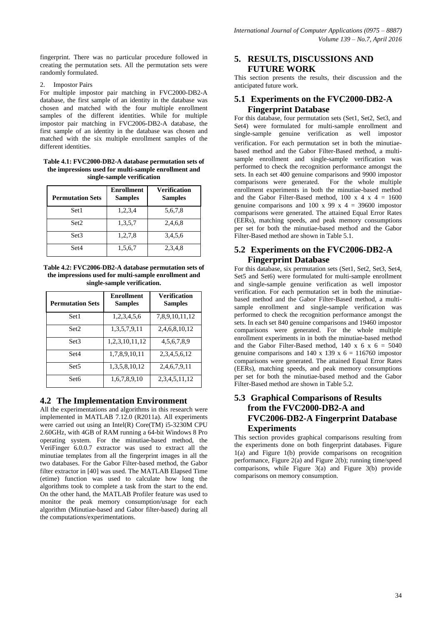fingerprint. There was no particular procedure followed in creating the permutation sets. All the permutation sets were randomly formulated.

2. Impostor Pairs

For multiple impostor pair matching in FVC2000-DB2-A database, the first sample of an identity in the database was chosen and matched with the four multiple enrollment samples of the different identities. While for multiple impostor pair matching in FVC2006-DB2-A database, the first sample of an identity in the database was chosen and matched with the six multiple enrollment samples of the different identities.

**Table 4.1: FVC2000-DB2-A database permutation sets of the impressions used for multi-sample enrollment and single-sample verification**

| <b>Permutation Sets</b> | <b>Enrollment</b><br><b>Samples</b> | <b>Verification</b><br><b>Samples</b> |
|-------------------------|-------------------------------------|---------------------------------------|
| Set1                    | 1,2,3,4                             | 5,6,7,8                               |
| Set2                    | 1,3,5,7                             | 2,4,6,8                               |
| Set <sub>3</sub>        | 1,2,7,8                             | 3,4,5,6                               |
| Set4                    | 1,5,6,7                             | 2,3,4,8                               |

**Table 4.2: FVC2006-DB2-A database permutation sets of the impressions used for multi-sample enrollment and single-sample verification.**

| <b>Permutation Sets</b> | <b>Enrollment</b><br><b>Samples</b> | Verification<br><b>Samples</b> |  |  |
|-------------------------|-------------------------------------|--------------------------------|--|--|
| Set1                    | 1,2,3,4,5,6                         | 7,8,9,10,11,12                 |  |  |
| Set2                    | 1,3,5,7,9,11                        | 2,4,6,8,10,12                  |  |  |
| Set <sub>3</sub>        | 1,2,3,10,11,12                      | 4, 5, 6, 7, 8, 9               |  |  |
| Set4                    | 1,7,8,9,10,11                       | 2, 3, 4, 5, 6, 12              |  |  |
| Set <sub>5</sub>        | 1,3,5,8,10,12                       | 2,4,6,7,9,11                   |  |  |
| Set <sub>6</sub>        | 1,6,7,8,9,10                        | 2, 3, 4, 5, 11, 12             |  |  |

### **4.2 The Implementation Environment**

All the experimentations and algorithms in this research were implemented in MATLAB 7.12.0 (R2011a). All experiments were carried out using an Intel(R) Core(TM) i5-3230M CPU 2.60GHz, with 4GB of RAM running a 64-bit Windows 8 Pro operating system. For the minutiae-based method, the VeriFinger 6.0.0.7 extractor was used to extract all the minutiae templates from all the fingerprint images in all the two databases. For the Gabor Filter-based method, the Gabor filter extractor in [40] was used. The MATLAB Elapsed Time (etime) function was used to calculate how long the algorithms took to complete a task from the start to the end. On the other hand, the MATLAB Profiler feature was used to monitor the peak memory consumption/usage for each algorithm (Minutiae-based and Gabor filter-based) during all the computations/experimentations.

### **5. RESULTS, DISCUSSIONS AND FUTURE WORK**

This section presents the results, their discussion and the anticipated future work.

### **5.1 Experiments on the FVC2000-DB2-A Fingerprint Database**

For this database, four permutation sets (Set1, Set2, Set3, and Set4) were formulated for multi-sample enrollment and single-sample genuine verification as well impostor verification. For each permutation set in both the minutiaebased method and the Gabor Filter-Based method, a multisample enrollment and single-sample verification was performed to check the recognition performance amongst the sets. In each set 400 genuine comparisons and 9900 impostor comparisons were generated. For the whole multiple comparisons were generated. enrollment experiments in both the minutiae-based method and the Gabor Filter-Based method, 100 x 4 x 4 = 1600 genuine comparisons and 100 x 99 x 4 = 39600 impostor comparisons were generated. The attained Equal Error Rates (EERs), matching speeds, and peak memory consumptions per set for both the minutiae-based method and the Gabor Filter-Based method are shown in Table 5.1.

### **5.2 Experiments on the FVC2006-DB2-A Fingerprint Database**

For this database, six permutation sets (Set1, Set2, Set3, Set4, Set5 and Set6) were formulated for multi-sample enrollment and single-sample genuine verification as well impostor verification. For each permutation set in both the minutiaebased method and the Gabor Filter-Based method, a multisample enrollment and single-sample verification was performed to check the recognition performance amongst the sets. In each set 840 genuine comparisons and 19460 impostor comparisons were generated. For the whole multiple enrollment experiments in in both the minutiae-based method and the Gabor Filter-Based method, 140 x 6 x 6 = 5040 genuine comparisons and 140 x 139 x  $6 = 116760$  impostor comparisons were generated. The attained Equal Error Rates (EERs), matching speeds, and peak memory consumptions per set for both the minutiae-based method and the Gabor Filter-Based method are shown in Table 5.2.

# **5.3 Graphical Comparisons of Results from the FVC2000-DB2-A and FVC2006-DB2-A Fingerprint Database Experiments**

This section provides graphical comparisons resulting from the experiments done on both fingerprint databases. Figure 1(a) and Figure 1(b) provide comparisons on recognition performance, Figure 2(a) and Figure 2(b); running time/speed comparisons, while Figure  $3(a)$  and Figure  $3(b)$  provide comparisons on memory consumption.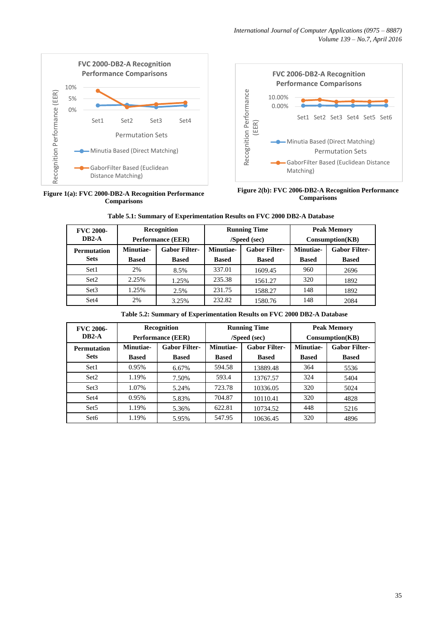

**Figure 1(a): FVC 2000-DB2-A Recognition Performance Comparisons**



**Figure 2(b): FVC 2006-DB2-A Recognition Performance Comparisons**

| <b>FVC 2000-</b>   |              | Recognition              |              | <b>Running Time</b>  |                   | <b>Peak Memory</b>   |
|--------------------|--------------|--------------------------|--------------|----------------------|-------------------|----------------------|
| $DB2-A$            |              | <b>Performance (EER)</b> | /Speed (sec) |                      | $Consumption(KB)$ |                      |
| <b>Permutation</b> | Minutiae-    | <b>Gabor Filter-</b>     | Minutiae-    | <b>Gabor Filter-</b> | Minutiae-         | <b>Gabor Filter-</b> |
| <b>Sets</b>        | <b>Based</b> | <b>Based</b>             | <b>Based</b> | <b>Based</b>         | <b>Based</b>      | <b>Based</b>         |
| Set1               | 2%           | 8.5%                     | 337.01       | 1609.45              | 960               | 2696                 |
| Set <sub>2</sub>   | 2.25%        | 1.25%                    | 235.38       | 1561.27              | 320               | 1892                 |
| Set <sub>3</sub>   | 1.25%        | 2.5%                     | 231.75       | 1588.27              | 148               | 1892                 |
| Set4               | 2%           | 3.25%                    | 232.82       | 1580.76              | 148               | 2084                 |

**Table 5.1: Summary of Experimentation Results on FVC 2000 DB2-A Database**

| Table 5.2: Summary of Experimentation Results on FVC 2000 DB2-A Database |  |
|--------------------------------------------------------------------------|--|
|--------------------------------------------------------------------------|--|

| <b>FVC 2006-</b>   | <b>Recognition</b> |                          | <b>Running Time</b> |                      | <b>Peak Memory</b> |                      |
|--------------------|--------------------|--------------------------|---------------------|----------------------|--------------------|----------------------|
| $DB2-A$            |                    | <b>Performance (EER)</b> | /Speed (sec)        |                      | $Consumption(KB)$  |                      |
| <b>Permutation</b> | Minutiae-          | <b>Gabor Filter-</b>     | Minutiae-           | <b>Gabor Filter-</b> | Minutiae-          | <b>Gabor Filter-</b> |
| <b>Sets</b>        | <b>Based</b>       | <b>Based</b>             | <b>Based</b>        | <b>Based</b>         | <b>Based</b>       | <b>Based</b>         |
| Set1               | 0.95%              | 6.67%                    | 594.58              | 13889.48             | 364                | 5536                 |
| Set2               | 1.19%              | 7.50%                    | 593.4               | 13767.57             | 324                | 5404                 |
| Set <sub>3</sub>   | 1.07%              | 5.24%                    | 723.78              | 10336.05             | 320                | 5024                 |
| Set4               | 0.95%              | 5.83%                    | 704.87              | 10110.41             | 320                | 4828                 |
| Set <sub>5</sub>   | 1.19%              | 5.36%                    | 622.81              | 10734.52             | 448                | 5216                 |
| Set <sub>6</sub>   | 1.19%              | 5.95%                    | 547.95              | 10636.45             | 320                | 4896                 |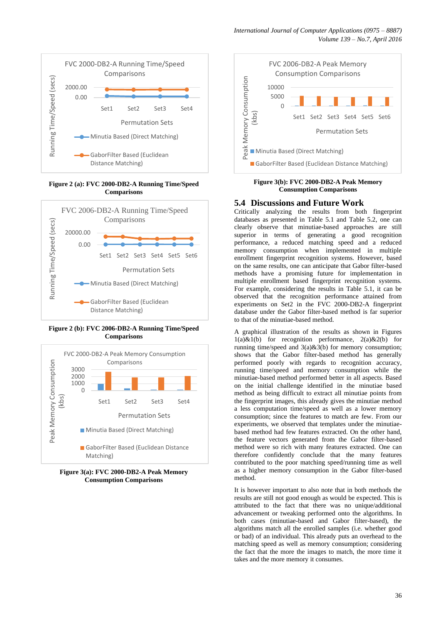

**Figure 2 (a): FVC 2000-DB2-A Running Time/Speed Comparisons**



**Figure 2 (b): FVC 2006-DB2-A Running Time/Speed Comparisons**



**Figure 3(a): FVC 2000-DB2-A Peak Memory Consumption Comparisons**



**Figure 3(b): FVC 2000-DB2-A Peak Memory Consumption Comparisons**

### **5.4 Discussions and Future Work**

Critically analyzing the results from both fingerprint databases as presented in Table 5.1 and Table 5.2, one can clearly observe that minutiae-based approaches are still superior in terms of generating a good recognition performance, a reduced matching speed and a reduced memory consumption when implemented in multiple enrollment fingerprint recognition systems. However, based on the same results, one can anticipate that Gabor filter-based methods have a promising future for implementation in multiple enrollment based fingerprint recognition systems. For example, considering the results in Table 5.1, it can be observed that the recognition performance attained from experiments on Set2 in the FVC 2000-DB2-A fingerprint database under the Gabor filter-based method is far superior to that of the minutiae-based method.

A graphical illustration of the results as shown in Figures  $1(a) \& 1(b)$  for recognition performance,  $2(a) \& 2(b)$  for running time/speed and  $3(a) \& 3(b)$  for memory consumption; shows that the Gabor filter-based method has generally performed poorly with regards to recognition accuracy, running time/speed and memory consumption while the minutiae-based method performed better in all aspects. Based on the initial challenge identified in the minutiae based method as being difficult to extract all minutiae points from the fingerprint images, this already gives the minutiae method a less computation time/speed as well as a lower memory consumption; since the features to match are few. From our experiments, we observed that templates under the minutiaebased method had few features extracted. On the other hand, the feature vectors generated from the Gabor filter-based method were so rich with many features extracted. One can therefore confidently conclude that the many features contributed to the poor matching speed/running time as well as a higher memory consumption in the Gabor filter-based method.

It is however important to also note that in both methods the results are still not good enough as would be expected. This is attributed to the fact that there was no unique/additional advancement or tweaking performed onto the algorithms. In both cases (minutiae-based and Gabor filter-based), the algorithms match all the enrolled samples (i.e. whether good or bad) of an individual. This already puts an overhead to the matching speed as well as memory consumption; considering the fact that the more the images to match, the more time it takes and the more memory it consumes.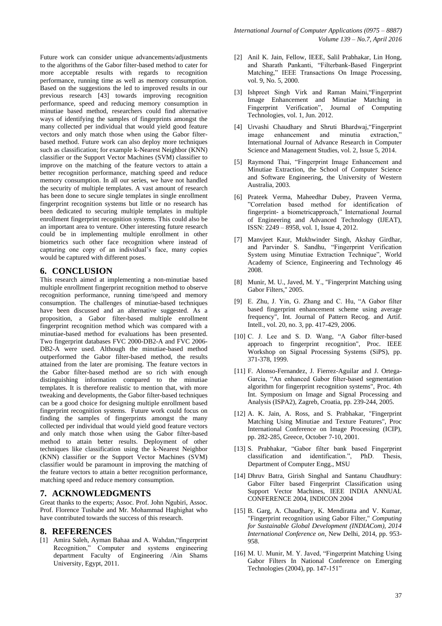Future work can consider unique advancements/adjustments to the algorithms of the Gabor filter-based method to cater for more acceptable results with regards to recognition performance, running time as well as memory consumption. Based on the suggestions the led to improved results in our previous research [43] towards improving recognition performance, speed and reducing memory consumption in minutiae based method, researchers could find alternative ways of identifying the samples of fingerprints amongst the many collected per individual that would yield good feature vectors and only match those when using the Gabor filterbased method. Future work can also deploy more techniques such as classification; for example k-Nearest Neighbor (KNN) classifier or the Support Vector Machines (SVM) classifier to improve on the matching of the feature vectors to attain a better recognition performance, matching speed and reduce memory consumption. In all our series, we have not handled the security of multiple templates. A vast amount of research has been done to secure single templates in single enrollment fingerprint recognition systems but little or no research has been dedicated to securing multiple templates in multiple enrollment fingerprint recognition systems. This could also be an important area to venture. Other interesting future research could be in implementing multiple enrollment in other biometrics such other face recognition where instead of capturing one copy of an individual's face, many copies would be captured with different poses.

### **6. CONCLUSION**

This research aimed at implementing a non-minutiae based multiple enrollment fingerprint recognition method to observe recognition performance, running time/speed and memory consumption. The challenges of minutiae-based techniques have been discussed and an alternative suggested. As a proposition, a Gabor filter-based multiple enrollment fingerprint recognition method which was compared with a minutiae-based method for evaluations has been presented. Two fingerprint databases FVC 2000-DB2-A and FVC 2006- DB2-A were used. Although the minutiae-based method outperformed the Gabor filter-based method, the results attained from the later are promising. The feature vectors in the Gabor filter-based method are so rich with enough distinguishing information compared to the minutiae templates. It is therefore realistic to mention that, with more tweaking and developments, the Gabor filter-based techniques can be a good choice for designing multiple enrollment based fingerprint recognition systems. Future work could focus on finding the samples of fingerprints amongst the many collected per individual that would yield good feature vectors and only match those when using the Gabor filter-based method to attain better results. Deployment of other techniques like classification using the k-Nearest Neighbor (KNN) classifier or the Support Vector Machines (SVM) classifier would be paramount in improving the matching of the feature vectors to attain a better recognition performance, matching speed and reduce memory consumption.

#### **7. ACKNOWLEDGMENTS**

Great thanks to the experts; Assoc. Prof. John Ngubiri, Assoc. Prof. Florence Tushabe and Mr. Mohammad Haghighat who have contributed towards the success of this research.

#### **8. REFERENCES**

[1] Amira Saleh, Ayman Bahaa and A. Wahdan,"fingerprint Recognition," Computer and systems engineering department Faculty of Engineering /Ain Shams University, Egypt, 2011.

- [2] Anil K. Jain, Fellow, IEEE, Salil Prabhakar, Lin Hong, and Sharath Pankanti, "Filterbank-Based Fingerprint Matching," IEEE Transactions On Image Processing, vol. 9, No. 5, 2000.
- [3] Ishpreet Singh Virk and Raman Maini,"Fingerprint Image Enhancement and Minutiae Matching in Fingerprint Verification", Journal of Computing Technologies, vol. 1, Jun. 2012.
- [4] Urvashi Chaudhary and Shruti Bhardwaj,"Fingerprint image enhancement and minutia extraction," International Journal of Advance Research in Computer Science and Management Studies, vol. 2, Issue 5, 2014.
- [5] Raymond Thai, "Fingerprint Image Enhancement and Minutiae Extraction, the School of Computer Science and Software Engineering, the University of Western Australia, 2003.
- [6] Prateek Verma, Maheedhar Dubey, Praveen Verma, "Correlation based method for identification of fingerprint- a biometricapproach," International Journal of Engineering and Advanced Technology (IJEAT), ISSN: 2249 – 8958, vol. 1, Issue 4, 2012.
- [7] Manvjeet Kaur, Mukhwinder Singh, Akshay Girdhar, and Parvinder S. Sandhu, "Fingerprint Verification System using Minutiae Extraction Technique", World Academy of Science, Engineering and Technology 46 2008.
- [8] Munir, M. U., Javed, M. Y., ''Fingerprint Matching using Gabor Filters,'' 2005.
- [9] E. Zhu, J. Yin, G. Zhang and C. Hu, "A Gabor filter based fingerprint enhancement scheme using average frequency", Int. Journal of Pattern Recog. and Artif. Intell., vol. 20, no. 3, pp. 417-429, 2006.
- [10] C. J. Lee and S. D. Wang, "A Gabor filter-based approach to fingerprint recognition", Proc. IEEE Workshop on Signal Processing Systems (SiPS), pp. 371-378, 1999.
- [11] F. Alonso-Fernandez, J. Fierrez-Aguilar and J. Ortega-Garcia, "An enhanced Gabor filter-based segmentation algorithm for fingerprint recognition systems", Proc. 4th Int. Symposium on Image and Signal Processing and Analysis (ISPA2), Zagreb, Croatia, pp. 239-244, 2005.
- [12] A. K. Jain, A. Ross, and S. Prabhakar, "Fingerprint" Matching Using Minutiae and Texture Features", Proc International Conference on Image Processing (ICIP), pp. 282-285, Greece, October 7-10, 2001.
- [13] S. Prabhakar, "Gabor filter bank based Fingerprint classification and identification.", PhD. Thesis, Department of Computer Engg., MSU
- [14] Dhruv Batra, Girish Singhal and Santanu Chaudhury: Gabor Filter based Fingerprint Classification using Support Vector Machines, IEEE INDIA ANNUAL CONFERENCE 2004, INDICON 2004
- [15] B. Garg, A. Chaudhary, K. Mendiratta and V. Kumar, "Fingerprint recognition using Gabor Filter," *Computing for Sustainable Global Development (INDIACom), 2014 International Conference on*, New Delhi, 2014, pp. 953- 958.
- [16] M. U. Munir, M. Y. Javed, "Fingerprint Matching Using Gabor Filters In National Conference on Emerging Technologies (2004), pp. 147-151"